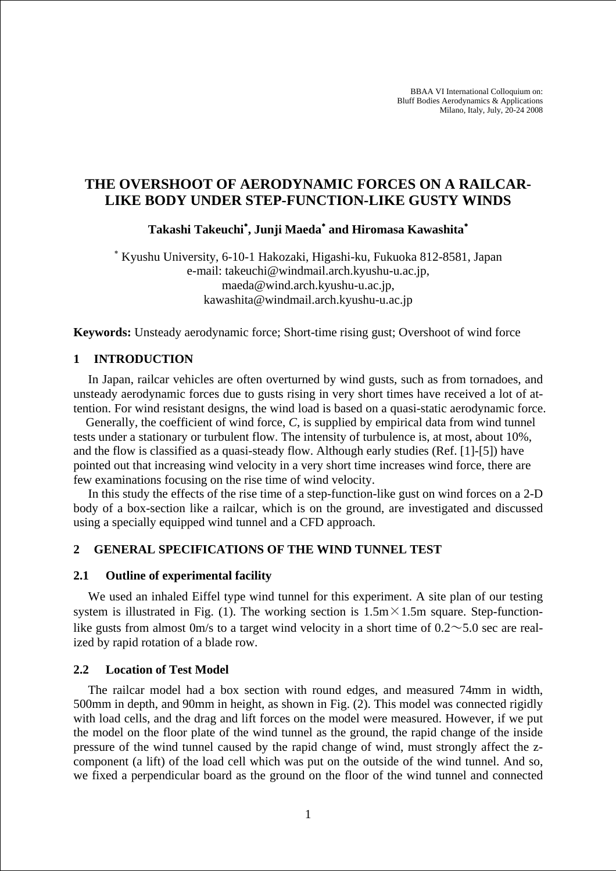BBAA VI International Colloquium on: Bluff Bodies Aerodynamics & Applications Milano, Italy, July, 20-24 2008

# **THE OVERSHOOT OF AERODYNAMIC FORCES ON A RAILCAR-LIKE BODY UNDER STEP-FUNCTION-LIKE GUSTY WINDS**

**Takashi Takeuchi**<sup>∗</sup> **, Junji Maeda**<sup>∗</sup>  **and Hiromasa Kawashita**<sup>∗</sup>

∗ Kyushu University, 6-10-1 Hakozaki, Higashi-ku, Fukuoka 812-8581, Japan e-mail: takeuchi@windmail.arch.kyushu-u.ac.jp, maeda@wind.arch.kyushu-u.ac.jp, kawashita@windmail.arch.kyushu-u.ac.jp

**Keywords:** Unsteady aerodynamic force; Short-time rising gust; Overshoot of wind force

## **1 INTRODUCTION**

In Japan, railcar vehicles are often overturned by wind gusts, such as from tornadoes, and unsteady aerodynamic forces due to gusts rising in very short times have received a lot of attention. For wind resistant designs, the wind load is based on a quasi-static aerodynamic force.

Generally, the coefficient of wind force, *C*, is supplied by empirical data from wind tunnel tests under a stationary or turbulent flow. The intensity of turbulence is, at most, about 10%, and the flow is classified as a quasi-steady flow. Although early studies (Ref. [1]-[5]) have pointed out that increasing wind velocity in a very short time increases wind force, there are few examinations focusing on the rise time of wind velocity.

In this study the effects of the rise time of a step-function-like gust on wind forces on a 2-D body of a box-section like a railcar, which is on the ground, are investigated and discussed using a specially equipped wind tunnel and a CFD approach.

### **2 GENERAL SPECIFICATIONS OF THE WIND TUNNEL TEST**

#### **2.1 Outline of experimental facility**

We used an inhaled Eiffel type wind tunnel for this experiment. A site plan of our testing system is illustrated in Fig. (1). The working section is  $1.5 \text{m} \times 1.5 \text{m}$  square. Step-functionlike gusts from almost 0m/s to a target wind velocity in a short time of  $0.2 \sim 5.0$  sec are realized by rapid rotation of a blade row.

#### **2.2 Location of Test Model**

The railcar model had a box section with round edges, and measured 74mm in width, 500mm in depth, and 90mm in height, as shown in Fig. (2). This model was connected rigidly with load cells, and the drag and lift forces on the model were measured. However, if we put the model on the floor plate of the wind tunnel as the ground, the rapid change of the inside pressure of the wind tunnel caused by the rapid change of wind, must strongly affect the zcomponent (a lift) of the load cell which was put on the outside of the wind tunnel. And so, we fixed a perpendicular board as the ground on the floor of the wind tunnel and connected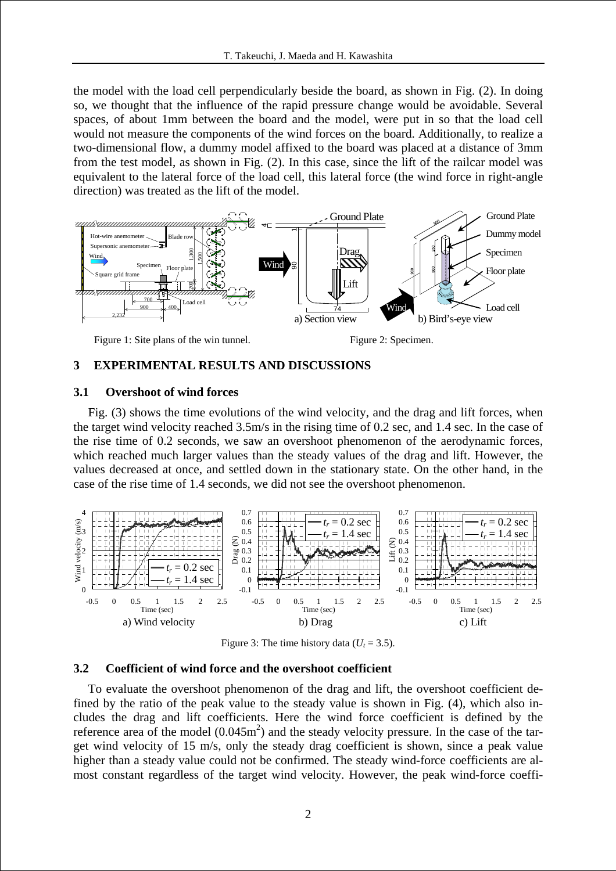the model with the load cell perpendicularly beside the board, as shown in Fig. (2). In doing so, we thought that the influence of the rapid pressure change would be avoidable. Several spaces, of about 1mm between the board and the model, were put in so that the load cell would not measure the components of the wind forces on the board. Additionally, to realize a two-dimensional flow, a dummy model affixed to the board was placed at a distance of 3mm from the test model, as shown in Fig. (2). In this case, since the lift of the railcar model was equivalent to the lateral force of the load cell, this lateral force (the wind force in right-angle direction) was treated as the lift of the model.



### **3 EXPERIMENTAL RESULTS AND DISCUSSIONS**

#### **3.1 Overshoot of wind forces**

Fig. (3) shows the time evolutions of the wind velocity, and the drag and lift forces, when the target wind velocity reached 3.5m/s in the rising time of 0.2 sec, and 1.4 sec. In the case of the rise time of 0.2 seconds, we saw an overshoot phenomenon of the aerodynamic forces, which reached much larger values than the steady values of the drag and lift. However, the values decreased at once, and settled down in the stationary state. On the other hand, in the case of the rise time of 1.4 seconds, we did not see the overshoot phenomenon.



Figure 3: The time history data  $(U_t = 3.5)$ .

#### **3.2 Coefficient of wind force and the overshoot coefficient**

To evaluate the overshoot phenomenon of the drag and lift, the overshoot coefficient defined by the ratio of the peak value to the steady value is shown in Fig. (4), which also includes the drag and lift coefficients. Here the wind force coefficient is defined by the reference area of the model  $(0.045m^2)$  and the steady velocity pressure. In the case of the target wind velocity of 15 m/s, only the steady drag coefficient is shown, since a peak value higher than a steady value could not be confirmed. The steady wind-force coefficients are almost constant regardless of the target wind velocity. However, the peak wind-force coeffi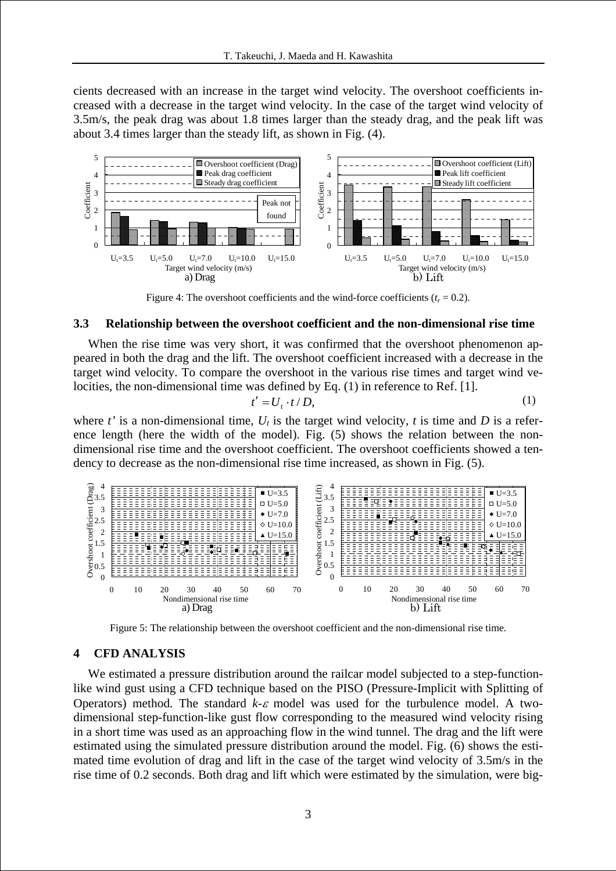cients decreased with an increase in the target wind velocity. The overshoot coefficients increased with a decrease in the target wind velocity. In the case of the target wind velocity of 3.5m/s, the peak drag was about 1.8 times larger than the steady drag, and the peak lift was about 3.4 times larger than the steady lift, as shown in Fig. (4).



Figure 4: The overshoot coefficients and the wind-force coefficients  $(t_r = 0.2)$ .

#### **3.3 Relationship between the overshoot coefficient and the non-dimensional rise time**

When the rise time was very short, it was confirmed that the overshoot phenomenon appeared in both the drag and the lift. The overshoot coefficient increased with a decrease in the target wind velocity. To compare the overshoot in the various rise times and target wind velocities, the non-dimensional time was defined by Eq. (1) in reference to Ref. [1].

$$
t' = U_t \cdot t / D,\tag{1}
$$

where *t*' is a non-dimensional time,  $U_t$  is the target wind velocity, *t* is time and *D* is a reference length (here the width of the model). Fig. (5) shows the relation between the nondimensional rise time and the overshoot coefficient. The overshoot coefficients showed a tendency to decrease as the non-dimensional rise time increased, as shown in Fig. (5).



Figure 5: The relationship between the overshoot coefficient and the non-dimensional rise time.

### **4 CFD ANALYSIS**

We estimated a pressure distribution around the railcar model subjected to a step-functionlike wind gust using a CFD technique based on the PISO (Pressure-Implicit with Splitting of Operators) method. The standard  $k$ - $\varepsilon$  model was used for the turbulence model. A twodimensional step-function-like gust flow corresponding to the measured wind velocity rising in a short time was used as an approaching flow in the wind tunnel. The drag and the lift were estimated using the simulated pressure distribution around the model. Fig. (6) shows the estimated time evolution of drag and lift in the case of the target wind velocity of 3.5m/s in the rise time of 0.2 seconds. Both drag and lift which were estimated by the simulation, were big